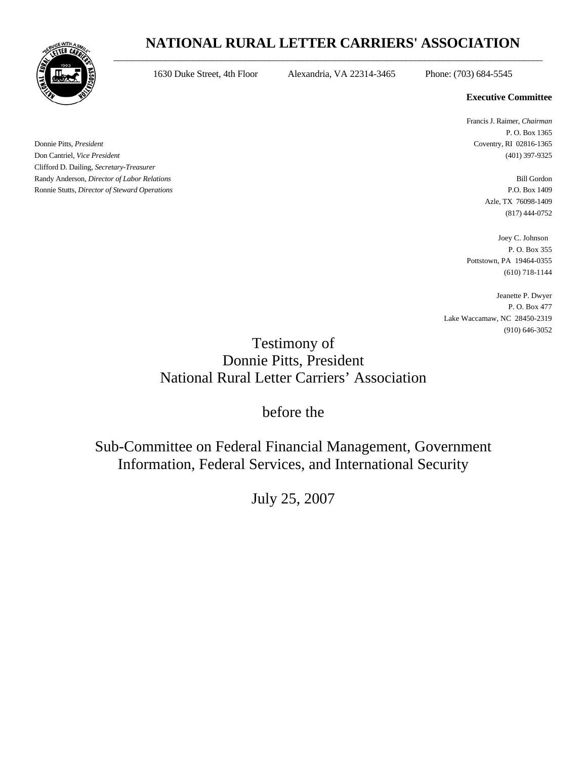## **NATIONAL RURAL LETTER CARRIERS' ASSOCIATION**  $\_$  ,  $\_$  ,  $\_$  ,  $\_$  ,  $\_$  ,  $\_$  ,  $\_$  ,  $\_$  ,  $\_$  ,  $\_$  ,  $\_$  ,  $\_$  ,  $\_$  ,  $\_$  ,  $\_$  ,  $\_$  ,  $\_$  ,  $\_$  ,  $\_$  ,  $\_$  ,  $\_$  ,  $\_$  ,  $\_$  ,  $\_$  ,  $\_$  ,  $\_$  ,  $\_$  ,  $\_$  ,  $\_$  ,  $\_$  ,  $\_$  ,  $\_$  ,  $\_$  ,  $\_$  ,  $\_$  ,  $\_$  ,  $\_$  ,



1630 Duke Street, 4th Floor Alexandria, VA 22314-3465 Phone: (703) 684-5545

## **Executive Committee**

 Francis J. Raimer, *Chairman* P. O. Box 1365

> Azle, TX 76098-1409 (817) 444-0752

 Joey C. Johnson P. O. Box 355 Pottstown, PA 19464-0355 (610) 718-1144

Jeanette P. Dwyer P. O. Box 477 Lake Waccamaw, NC 28450-2319 (910) 646-3052

## Testimony of Donnie Pitts, President National Rural Letter Carriers' Association

before the

Sub-Committee on Federal Financial Management, Government Information, Federal Services, and International Security

July 25, 2007

Donnie Pitts, *President* Coventry, RI 02816-1365 Don Cantriel, *Vice President* (401) 397-9325 Clifford D. Dailing, *Secretary-Treasurer* Randy Anderson, *Director of Labor Relations* Bill Gordon Ronnie Stutts, *Director of Steward Operations* P.O. Box 1409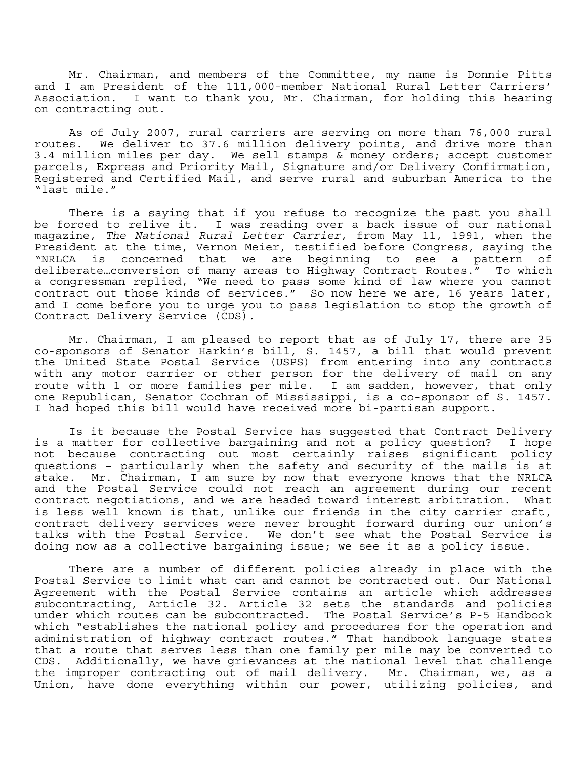Mr. Chairman, and members of the Committee, my name is Donnie Pitts and I am President of the 111,000-member National Rural Letter Carriers' Association. I want to thank you, Mr. Chairman, for holding this hearing on contracting out.<br>As of July 2007, rural carriers are serving on more than 76,000 rural

routes. We deliver to 37.6 million delivery points, and drive more than 3.4 million miles per day. We sell stamps & money orders; accept customer parcels, Express and Priority Mail, Signature and/or Delivery Confirmation, Registered and Certified Mail, and serve rural and suburban America to the "last mile."

 There is a saying that if you refuse to recognize the past you shall be forced to relive it. I was reading over a back issue of our national magazine, *The National Rural Letter Carrier,* from May 11, 1991, when the President at the time, Vernon Meier, testified before Congress, saying the "NRLCA is concerned that we are beginning to see a pattern of deliberate…conversion of many areas to Highway Contract Routes." To which a congressman replied, "We need to pass some kind of law where you cannot contract out those kinds of services." So now here we are, 16 years later, and I come before you to urge you to pass legislation to stop the growth of Contract Delivery Service (CDS).

 Mr. Chairman, I am pleased to report that as of July 17, there are 35 co-sponsors of Senator Harkin's bill, S. 1457, a bill that would prevent the United State Postal Service (USPS) from entering into any contracts with any motor carrier or other person for the delivery of mail on any route with 1 or more families per mile. I am sadden, however, that only one Republican, Senator Cochran of Mississippi, is a co-sponsor of S. 1457. I had hoped this bill would have received more bi-partisan support.

 Is it because the Postal Service has suggested that Contract Delivery is a matter for collective bargaining and not a policy question? I hope not because contracting out most certainly raises significant policy questions – particularly when the safety and security of the mails is at stake. Mr. Chairman, I am sure by now that everyone knows that the NRLCA and the Postal Service could not reach an agreement during our recent contract negotiations, and we are headed toward interest arbitration. What is less well known is that, unlike our friends in the city carrier craft, contract delivery services were never brought forward during our union's talks with the Postal Service. We don't see what the Postal Service is doing now as a collective bargaining issue; we see it as a policy issue.

 There are a number of different policies already in place with the Postal Service to limit what can and cannot be contracted out. Our National Agreement with the Postal Service contains an article which addresses subcontracting, Article 32. Article 32 sets the standards and policies under which routes can be subcontracted. The Postal Service's P-5 Handbook which "establishes the national policy and procedures for the operation and administration of highway contract routes." That handbook language states that a route that serves less than one family per mile may be converted to CDS. Additionally, we have grievances at the national level that challenge the improper contracting out of mail delivery. Mr. Chairman, we, as a Union, have done everything within our power, utilizing policies, and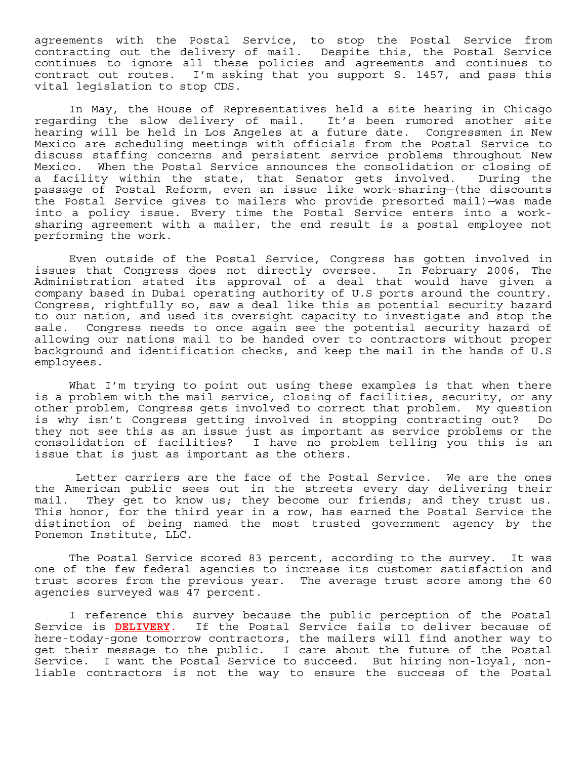agreements with the Postal Service, to stop the Postal Service from contracting out the delivery of mail. Despite this, the Postal Service continues to ignore all these policies and agreements and continues to contract out routes. I'm asking that you support S. 1457, and pass this vital legislation to stop CDS.

 In May, the House of Representatives held a site hearing in Chicago regarding the slow delivery of mail. It's been rumored another site hearing will be held in Los Angeles at a future date. Congressmen in New Mexico are scheduling meetings with officials from the Postal Service to discuss staffing concerns and persistent service problems throughout New Mexico. When the Postal Service announces the consolidation or closing of a facility within the state, that Senator gets involved. During the passage of Postal Reform, even an issue like work-sharing—(the discounts the Postal Service gives to mailers who provide presorted mail)—was made into a policy issue. Every time the Postal Service enters into a worksharing agreement with a mailer, the end result is a postal employee not performing the work.

 Even outside of the Postal Service, Congress has gotten involved in issues that Congress does not directly oversee. In February 2006, The Administration stated its approval of a deal that would have given a company based in Dubai operating authority of U.S ports around the country. Congress, rightfully so, saw a deal like this as potential security hazard to our nation, and used its oversight capacity to investigate and stop the sale. Congress needs to once again see the potential security hazard of allowing our nations mail to be handed over to contractors without proper background and identification checks, and keep the mail in the hands of U.S employees.

What I'm trying to point out using these examples is that when there is a problem with the mail service, closing of facilities, security, or any other problem, Congress gets involved to correct that problem. My question is why isn't Congress getting involved in stopping contracting out? Do they not see this as an issue just as important as service problems or the consolidation of facilities? I have no problem telling you this is an issue that is just as important as the others.

 Letter carriers are the face of the Postal Service. We are the ones the American public sees out in the streets every day delivering their mail. They get to know us; they become our friends; and they trust us. This honor, for the third year in a row, has earned the Postal Service the distinction of being named the most trusted government agency by the Ponemon Institute, LLC.

 The Postal Service scored 83 percent, according to the survey. It was one of the few federal agencies to increase its customer satisfaction and trust scores from the previous year. The average trust score among the 60 agencies surveyed was 47 percent.

I reference this survey because the public perception of the Postal Service is **DELIVERY**. If the Postal Service fails to deliver because of here-today-gone tomorrow contractors, the mailers will find another way to get their message to the public. I care about the future of the Postal Service. I want the Postal Service to succeed. But hiring non-loyal, nonliable contractors is not the way to ensure the success of the Postal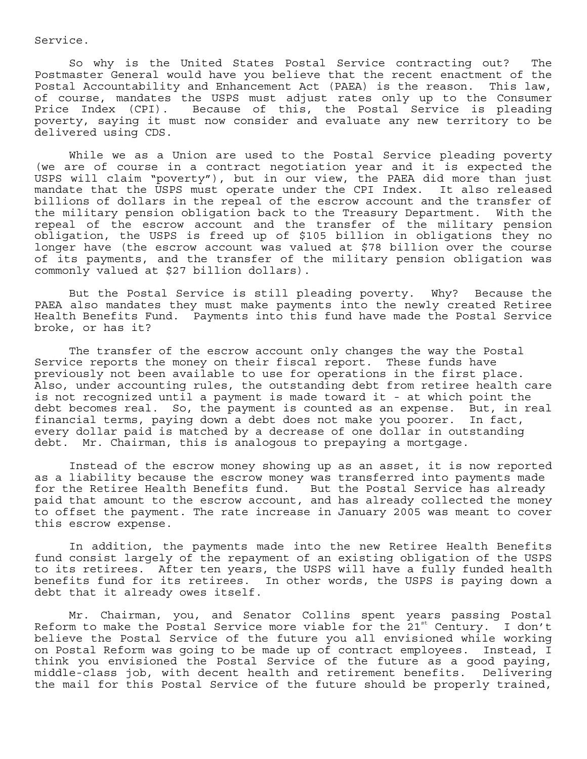Service.

So why is the United States Postal Service contracting out? The Postmaster General would have you believe that the recent enactment of the Postal Accountability and Enhancement Act (PAEA) is the reason. This law, of course, mandates the USPS must adjust rates only up to the Consumer Price Index (CPI). Because of this, the Postal Service is pleading poverty, saying it must now consider and evaluate any new territory to be delivered using CDS.

While we as a Union are used to the Postal Service pleading poverty (we are of course in a contract negotiation year and it is expected the USPS will claim "poverty"), but in our view, the PAEA did more than just mandate that the USPS must operate under the CPI Index. It also released billions of dollars in the repeal of the escrow account and the transfer of the military pension obligation back to the Treasury Department. With the repeal of the escrow account and the transfer of the military pension obligation, the USPS is freed up of \$105 billion in obligations they no longer have (the escrow account was valued at \$78 billion over the course of its payments, and the transfer of the military pension obligation was commonly valued at \$27 billion dollars).

But the Postal Service is still pleading poverty. Why? Because the PAEA also mandates they must make payments into the newly created Retiree Health Benefits Fund. Payments into this fund have made the Postal Service broke, or has it?

The transfer of the escrow account only changes the way the Postal Service reports the money on their fiscal report. These funds have previously not been available to use for operations in the first place. Also, under accounting rules, the outstanding debt from retiree health care is not recognized until a payment is made toward it - at which point the debt becomes real. So, the payment is counted as an expense. But, in real financial terms, paying down a debt does not make you poorer. In fact, every dollar paid is matched by a decrease of one dollar in outstanding debt. Mr. Chairman, this is analogous to prepaying a mortgage.

Instead of the escrow money showing up as an asset, it is now reported as a liability because the escrow money was transferred into payments made for the Retiree Health Benefits fund. But the Postal Service has already paid that amount to the escrow account, and has already collected the money to offset the payment. The rate increase in January 2005 was meant to cover this escrow expense.

In addition, the payments made into the new Retiree Health Benefits fund consist largely of the repayment of an existing obligation of the USPS to its retirees. After ten years, the USPS will have a fully funded health benefits fund for its retirees. In other words, the USPS is paying down a debt that it already owes itself.

 Mr. Chairman, you, and Senator Collins spent years passing Postal Reform to make the Postal Service more viable for the  $21^{st}$  Century. I don't believe the Postal Service of the future you all envisioned while working on Postal Reform was going to be made up of contract employees. Instead, I think you envisioned the Postal Service of the future as a good paying, middle-class job, with decent health and retirement benefits. Delivering the mail for this Postal Service of the future should be properly trained,